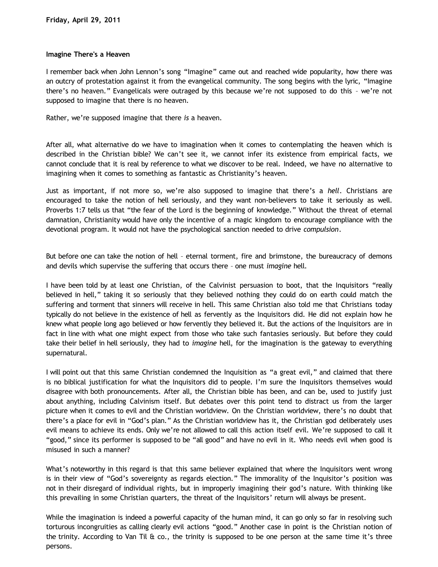## **Imagine There's a Heaven**

I remember back when John Lennon's song "Imagine" came out and reached wide popularity, how there was an outcry of protestation against it from the evangelical community. The song begins with the lyric, "Imagine there's no heaven." Evangelicals were outraged by this because we're not supposed to do this – we're not supposed to imagine that there is no heaven.

Rather, we're supposed imagine that there *is* a heaven.

After all, what alternative do we have to imagination when it comes to contemplating the heaven which is described in the Christian bible? We can't see it, we cannot infer its existence from empirical facts, we cannot conclude that it is real by reference to what we discover to be real. Indeed, we have no alternative to imagining when it comes to something as fantastic as Christianity's heaven.

Just as important, if not more so, we're also supposed to imagine that there's a *hell*. Christians are encouraged to take the notion of hell seriously, and they want non-believers to take it seriously as well. Proverbs 1:7 tells us that "the fear of the Lord is the beginning of knowledge." Without the threat of eternal damnation, Christianity would have only the incentive of a magic kingdom to encourage compliance with the devotional program. It would not have the psychological sanction needed to drive *compulsion*.

But before one can take the notion of hell – eternal torment, fire and brimstone, the bureaucracy of demons and devils which supervise the suffering that occurs there – one must *imagine* hell.

I have been told by at least one Christian, of the Calvinist persuasion to boot, that the Inquisitors "really believed in hell," taking it so seriously that they believed nothing they could do on earth could match the suffering and torment that sinners will receive in hell. This same Christian also told me that Christians today typically do not believe in the existence of hell as fervently as the Inquisitors did. He did not explain how he knew what people long ago believed or how fervently they believed it. But the actions of the Inquisitors are in fact in line with what one might expect from those who take such fantasies seriously. But before they could take their belief in hell seriously, they had to *imagine* hell, for the imagination is the gateway to everything supernatural.

I will point out that this same Christian condemned the Inquisition as "a great evil," and claimed that there is no biblical justification for what the Inquisitors did to people. I'm sure the Inquisitors themselves would disagree with both pronouncements. After all, the Christian bible has been, and can be, used to justify just about anything, including Calvinism itself. But debates over this point tend to distract us from the larger picture when it comes to evil and the Christian worldview. On the Christian worldview, there's no doubt that there's a place for evil in "God's plan." As the Christian worldview has it, the Christian god deliberately uses evil means to achieve its ends. Only we're not allowed to call this action itself evil. We're supposed to call it "good," since its performer is supposed to be "all good" and have no evil in it. Who needs evil when good is misused in such a manner?

What's noteworthy in this regard is that this same believer explained that where the Inquisitors went wrong is in their view of "God's sovereignty as regards election." The immorality of the Inquisitor's position was not in their disregard of individual rights, but in improperly imagining their god's nature. With thinking like this prevailing in some Christian quarters, the threat of the Inquisitors' return will always be present.

While the imagination is indeed a powerful capacity of the human mind, it can go only so far in resolving such torturous incongruities as calling clearly evil actions "good." Another case in point is the Christian notion of the trinity. According to Van Til & co., the trinity is supposed to be one person at the same time it's three persons.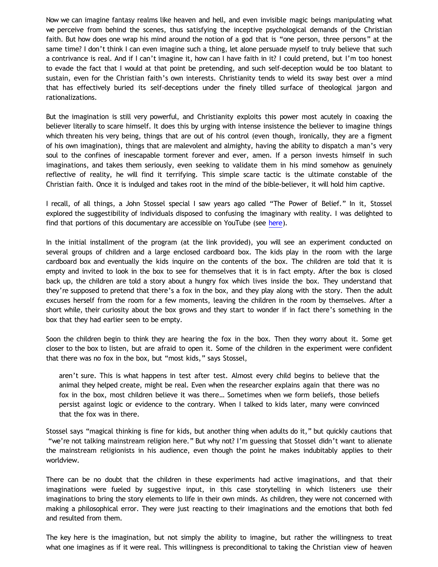Now we can imagine fantasy realms like heaven and hell, and even invisible magic beings manipulating what we perceive from behind the scenes, thus satisfying the inceptive psychological demands of the Christian faith. But how does one wrap his mind around the notion of a god that is "one person, three persons" at the same time? I don't think I can even imagine such a thing, let alone persuade myself to truly believe that such a contrivance is real. And if I can't imagine it, how can I have faith in it? I could pretend, but I'm too honest to evade the fact that I would at that point be pretending, and such self-deception would be too blatant to sustain, even for the Christian faith's own interests. Christianity tends to wield its sway best over a mind that has effectively buried its self-deceptions under the finely tilled surface of theological jargon and rationalizations.

But the imagination is still very powerful, and Christianity exploits this power most acutely in coaxing the believer literally to scare himself. It does this by urging with intense insistence the believer to imagine things which threaten his very being, things that are out of his control (even though, ironically, they are a figment of his own imagination), things that are malevolent and almighty, having the ability to dispatch a man's very soul to the confines of inescapable torment forever and ever, amen. If a person invests himself in such imaginations, and takes them seriously, even seeking to validate them in his mind somehow as genuinely reflective of reality, he will find it terrifying. This simple scare tactic is the ultimate constable of the Christian faith. Once it is indulged and takes root in the mind of the bible-believer, it will hold him captive.

I recall, of all things, a John Stossel special I saw years ago called "The Power of Belief." In it, Stossel explored the suggestibility of individuals disposed to confusing the imaginary with reality. I was delighted to find that portions of this documentary are accessible on YouTube (see [here](http://www.youtube.com/watch?v=B6FhmqgFKIQ)).

In the initial installment of the program (at the link provided), you will see an experiment conducted on several groups of children and a large enclosed cardboard box. The kids play in the room with the large cardboard box and eventually the kids inquire on the contents of the box. The children are told that it is empty and invited to look in the box to see for themselves that it is in fact empty. After the box is closed back up, the children are told a story about a hungry fox which lives inside the box. They understand that they're supposed to pretend that there's a fox in the box, and they play along with the story. Then the adult excuses herself from the room for a few moments, leaving the children in the room by themselves. After a short while, their curiosity about the box grows and they start to wonder if in fact there's something in the box that they had earlier seen to be empty.

Soon the children begin to think they are hearing the fox in the box. Then they worry about it. Some get closer to the box to listen, but are afraid to open it. Some of the children in the experiment were confident that there was no fox in the box, but "most kids," says Stossel,

aren't sure. This is what happens in test after test. Almost every child begins to believe that the animal they helped create, might be real. Even when the researcher explains again that there was no fox in the box, most children believe it was there… Sometimes when we form beliefs, those beliefs persist against logic or evidence to the contrary. When I talked to kids later, many were convinced that the fox was in there.

Stossel says "magical thinking is fine for kids, but another thing when adults do it," but quickly cautions that "we're not talking mainstream religion here." But why not? I'm guessing that Stossel didn't want to alienate the mainstream religionists in his audience, even though the point he makes indubitably applies to their worldview.

There can be no doubt that the children in these experiments had active imaginations, and that their imaginations were fueled by suggestive input, in this case storytelling in which listeners use their imaginations to bring the story elements to life in their own minds. As children, they were not concerned with making a philosophical error. They were just reacting to their imaginations and the emotions that both fed and resulted from them.

The key here is the imagination, but not simply the ability to imagine, but rather the willingness to treat what one imagines as if it were real. This willingness is preconditional to taking the Christian view of heaven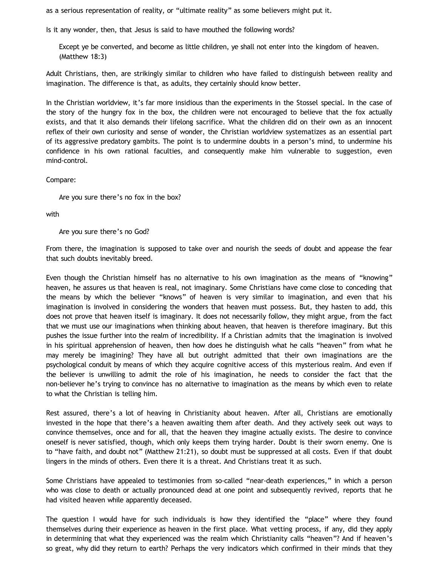as a serious representation of reality, or "ultimate reality" as some believers might put it.

Is it any wonder, then, that Jesus is said to have mouthed the following words?

Except ye be converted, and become as little children, ye shall not enter into the kingdom of heaven. (Matthew 18:3)

Adult Christians, then, are strikingly similar to children who have failed to distinguish between reality and imagination. The difference is that, as adults, they certainly should know better.

In the Christian worldview, it's far more insidious than the experiments in the Stossel special. In the case of the story of the hungry fox in the box, the children were not encouraged to believe that the fox actually exists, and that it also demands their lifelong sacrifice. What the children did on their own as an innocent reflex of their own curiosity and sense of wonder, the Christian worldview systematizes as an essential part of its aggressive predatory gambits. The point is to undermine doubts in a person's mind, to undermine his confidence in his own rational faculties, and consequently make him vulnerable to suggestion, even mind-control.

## Compare:

Are you sure there's no fox in the box?

with

Are you sure there's no God?

From there, the imagination is supposed to take over and nourish the seeds of doubt and appease the fear that such doubts inevitably breed.

Even though the Christian himself has no alternative to his own imagination as the means of "knowing" heaven, he assures us that heaven is real, not imaginary. Some Christians have come close to conceding that the means by which the believer "knows" of heaven is very similar to imagination, and even that his imagination is involved in considering the wonders that heaven must possess. But, they hasten to add, this does not prove that heaven itself is imaginary. It does not necessarily follow, they might argue, from the fact that we must use our imaginations when thinking about heaven, that heaven is therefore imaginary. But this pushes the issue further into the realm of incredibility. If a Christian admits that the imagination is involved in his spiritual apprehension of heaven, then how does he distinguish what he calls "heaven" from what he may merely be imagining? They have all but outright admitted that their own imaginations are the psychological conduit by means of which they acquire cognitive access of this mysterious realm. And even if the believer is unwilling to admit the role of his imagination, he needs to consider the fact that the non-believer he's trying to convince has no alternative to imagination as the means by which even to relate to what the Christian is telling him.

Rest assured, there's a lot of heaving in Christianity about heaven. After all, Christians are emotionally invested in the hope that there's a heaven awaiting them after death. And they actively seek out ways to convince themselves, once and for all, that the heaven they imagine actually exists. The desire to convince oneself is never satisfied, though, which only keeps them trying harder. Doubt is their sworn enemy. One is to "have faith, and doubt not" (Matthew 21:21), so doubt must be suppressed at all costs. Even if that doubt lingers in the minds of others. Even there it is a threat. And Christians treat it as such.

Some Christians have appealed to testimonies from so-called "near-death experiences," in which a person who was close to death or actually pronounced dead at one point and subsequently revived, reports that he had visited heaven while apparently deceased.

The question I would have for such individuals is how they identified the "place" where they found themselves during their experience as heaven in the first place. What vetting process, if any, did they apply in determining that what they experienced was the realm which Christianity calls "heaven"? And if heaven's so great, why did they return to earth? Perhaps the very indicators which confirmed in their minds that they